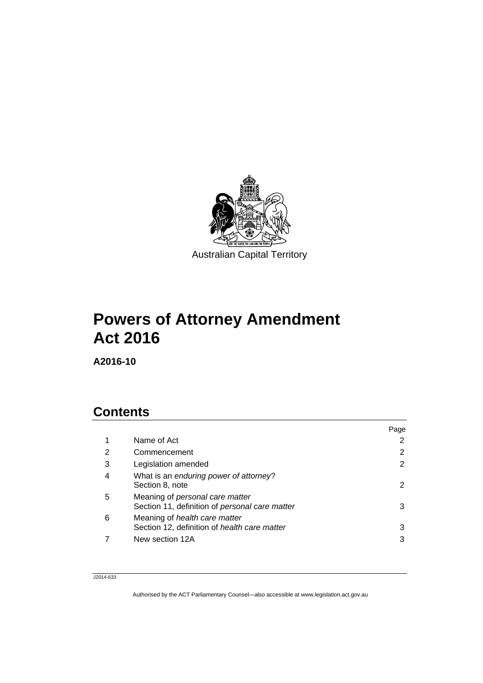

# **Powers of Attorney Amendment Act 2016**

**A2016-10** 

# **Contents**

|   |                                                                                   | Page |
|---|-----------------------------------------------------------------------------------|------|
| 1 | Name of Act                                                                       |      |
| 2 | Commencement                                                                      | 2    |
| 3 | Legislation amended                                                               |      |
| 4 | What is an enduring power of attorney?<br>Section 8, note                         | 2    |
| 5 | Meaning of personal care matter<br>Section 11, definition of personal care matter | 3    |
| 6 | Meaning of health care matter<br>Section 12, definition of health care matter     | 3    |
|   | New section 12A                                                                   | 3    |
|   |                                                                                   |      |

#### J2014-633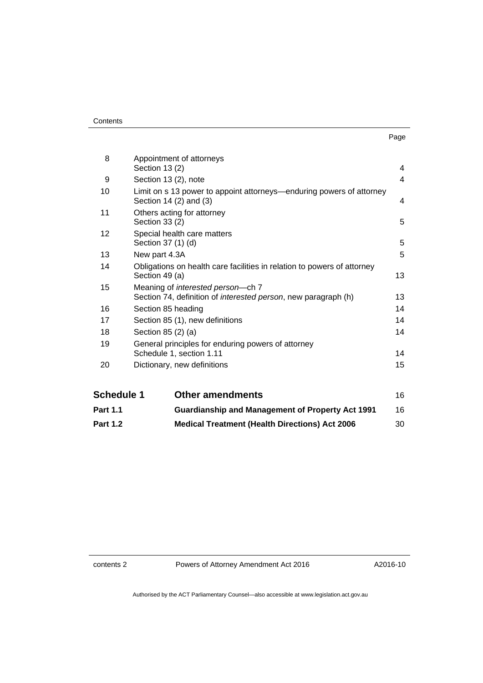| ×<br>×<br>I |  |
|-------------|--|

| <b>Part 1.1</b>   | <b>Guardianship and Management of Property Act 1991</b>                                        | 16             |
|-------------------|------------------------------------------------------------------------------------------------|----------------|
| <b>Schedule 1</b> | <b>Other amendments</b>                                                                        | 16             |
|                   |                                                                                                |                |
| 20                | Dictionary, new definitions                                                                    | 15             |
| 19                | General principles for enduring powers of attorney<br>Schedule 1, section 1.11                 | 14             |
| 18                | Section 85 (2) (a)                                                                             | 14             |
| 17                | Section 85 (1), new definitions                                                                |                |
|                   | Section 85 heading                                                                             | 14             |
| 16                | Section 74, definition of interested person, new paragraph (h)                                 | 13<br>14       |
| 15                | Meaning of interested person-ch 7                                                              |                |
| 14                | Obligations on health care facilities in relation to powers of attorney<br>Section 49 (a)      | 13             |
| 13                | New part 4.3A                                                                                  | 5              |
| 12                | Special health care matters<br>Section 37 (1) (d)                                              | 5              |
| 11                | Others acting for attorney<br>Section 33 (2)                                                   | 5              |
| 10                | Limit on s 13 power to appoint attorneys—enduring powers of attorney<br>Section 14 (2) and (3) | 4              |
| 9                 | Section 13 (2), note                                                                           | $\overline{4}$ |
| 8                 | Appointment of attorneys<br>Section 13 (2)                                                     | 4              |
|                   |                                                                                                |                |

**Part 1.2 [Medical Treatment \(Health Directions\) Act 2006](#page-31-0)** 30

contents 2 Powers of Attorney Amendment Act 2016

A2016-10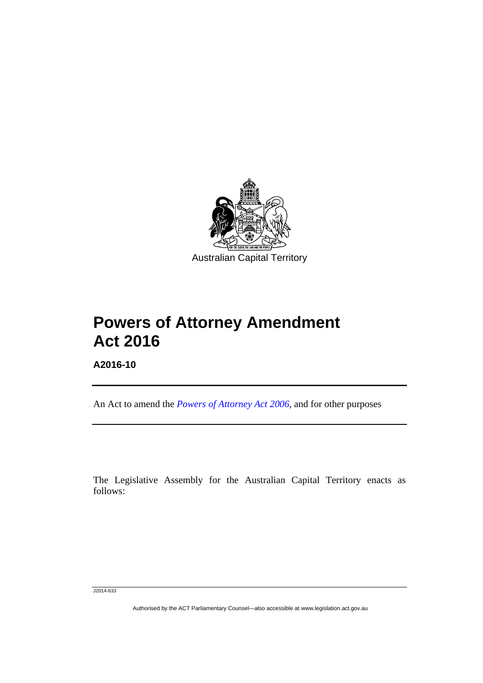

# **Powers of Attorney Amendment Act 2016**

**A2016-10** 

l

An Act to amend the *[Powers of Attorney Act 2006](http://www.legislation.act.gov.au/a/2006-50)*, and for other purposes

The Legislative Assembly for the Australian Capital Territory enacts as follows:

J2014-633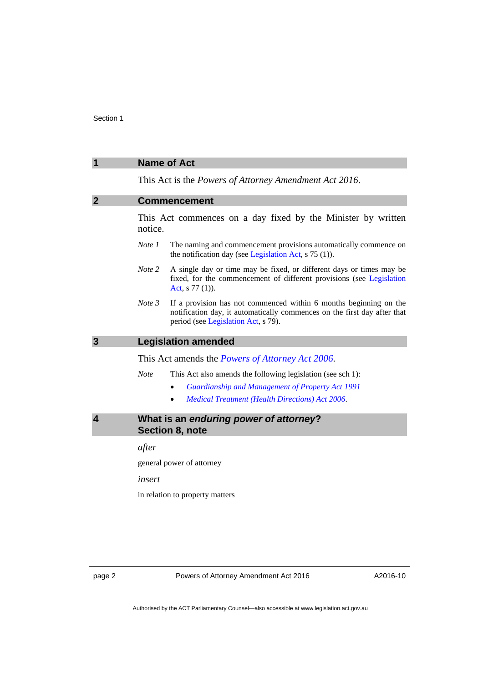# <span id="page-3-2"></span><span id="page-3-1"></span><span id="page-3-0"></span>**1 Name of Act**  This Act is the *Powers of Attorney Amendment Act 2016*. **2 Commencement**  This Act commences on a day fixed by the Minister by written notice. *Note 1* The naming and commencement provisions automatically commence on the notification day (see [Legislation Act,](http://www.legislation.act.gov.au/a/2001-14) s 75 (1)). *Note 2* A single day or time may be fixed, or different days or times may be fixed, for the commencement of different provisions (see [Legislation](http://www.legislation.act.gov.au/a/2001-14)  [Act](http://www.legislation.act.gov.au/a/2001-14), s 77 (1)). *Note 3* If a provision has not commenced within 6 months beginning on the notification day, it automatically commences on the first day after that period (see [Legislation Act,](http://www.legislation.act.gov.au/a/2001-14) s 79). **3 Legislation amended**  This Act amends the *[Powers of Attorney Act 2006](http://www.legislation.act.gov.au/a/2006-50)*. *Note* This Act also amends the following legislation (see sch 1): *[Guardianship and Management of Property Act 1991](http://www.legislation.act.gov.au/a/1991-62) [Medical Treatment \(Health](http://www.legislation.act.gov.au/a/2006-51) Directions) Act 2006*. **4 What is an** *enduring power of attorney***? Section 8, note**  *after*  general power of attorney *insert*  in relation to property matters

<span id="page-3-3"></span>page 2 Powers of Attorney Amendment Act 2016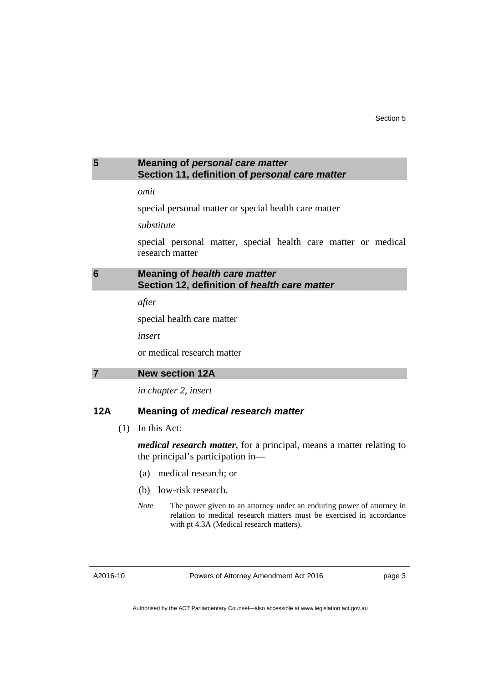#### <span id="page-4-0"></span>**5 Meaning of** *personal care matter* **Section 11, definition of** *personal care matter*

#### *omit*

special personal matter or special health care matter

#### *substitute*

special personal matter, special health care matter or medical research matter

#### <span id="page-4-1"></span>**6 Meaning of** *health care matter* **Section 12, definition of** *health care matter*

*after* 

special health care matter

*insert* 

or medical research matter

<span id="page-4-2"></span>

*in chapter 2, insert* 

#### **12A Meaning of** *medical research matter*

(1) In this Act:

*medical research matter*, for a principal, means a matter relating to the principal's participation in—

- (a) medical research; or
- (b) low-risk research.
- *Note* The power given to an attorney under an enduring power of attorney in relation to medical research matters must be exercised in accordance with pt 4.3A (Medical research matters).

A2016-10

Powers of Attorney Amendment Act 2016

page 3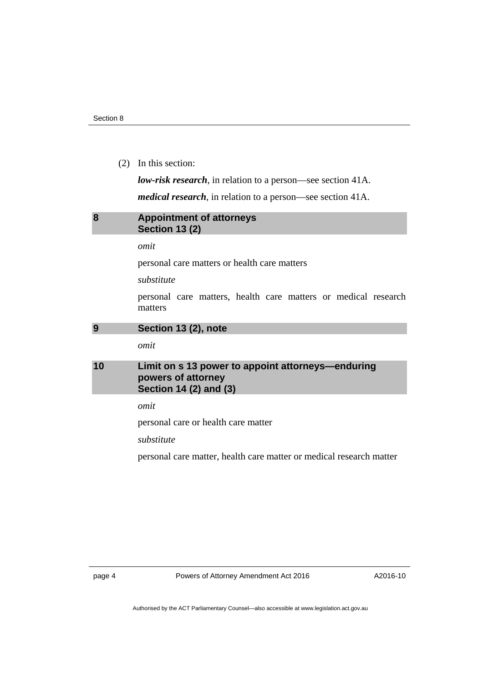(2) In this section:

*low-risk research*, in relation to a person—see section 41A.

*medical research*, in relation to a person—see section 41A.

#### <span id="page-5-0"></span>**8 Appointment of attorneys Section 13 (2)**

*omit* 

personal care matters or health care matters

*substitute* 

personal care matters, health care matters or medical research matters

<span id="page-5-1"></span>**9 Section 13 (2), note** 

*omit* 

#### <span id="page-5-2"></span>**10 Limit on s 13 power to appoint attorneys—enduring powers of attorney Section 14 (2) and (3)**

*omit* 

personal care or health care matter

*substitute* 

personal care matter, health care matter or medical research matter

page 4 Powers of Attorney Amendment Act 2016

A2016-10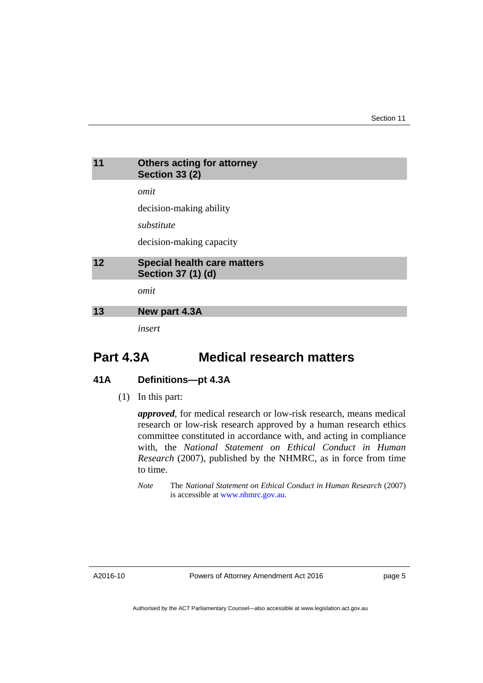<span id="page-6-0"></span>

| 11 | <b>Others acting for attorney</b><br><b>Section 33 (2)</b>      |
|----|-----------------------------------------------------------------|
|    | omit                                                            |
|    | decision-making ability                                         |
|    | substitute                                                      |
|    | decision-making capacity                                        |
| 12 | <b>Special health care matters</b><br><b>Section 37 (1) (d)</b> |
|    | omit                                                            |
| 13 | New part 4.3A                                                   |
|    | insert                                                          |

# <span id="page-6-2"></span><span id="page-6-1"></span>**Part 4.3A Medical research matters**

## **41A Definitions—pt 4.3A**

(1) In this part:

*approved*, for medical research or low-risk research, means medical research or low-risk research approved by a human research ethics committee constituted in accordance with, and acting in compliance with, the *National Statement on Ethical Conduct in Human Research* (2007), published by the NHMRC, as in force from time to time.

*Note* The *National Statement on Ethical Conduct in Human Research* (2007) is accessible at [www.nhmrc.gov.au](http://www.nhmrc.gov.au/).

A2016-10

Powers of Attorney Amendment Act 2016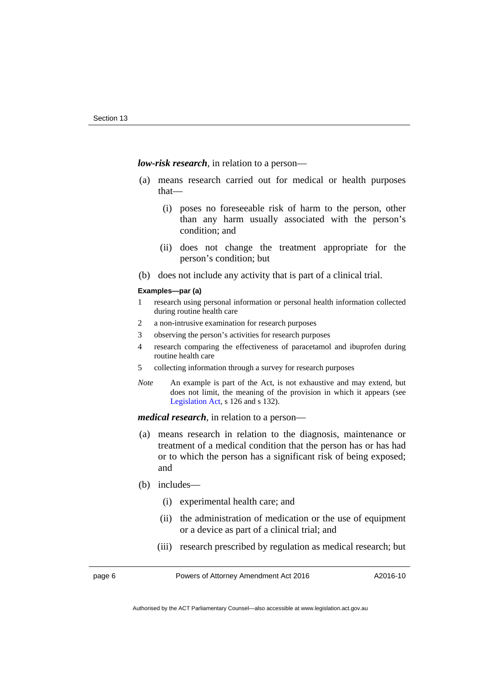*low-risk research*, in relation to a person—

- (a) means research carried out for medical or health purposes that—
	- (i) poses no foreseeable risk of harm to the person, other than any harm usually associated with the person's condition; and
	- (ii) does not change the treatment appropriate for the person's condition; but
- (b) does not include any activity that is part of a clinical trial.

#### **Examples—par (a)**

- 1 research using personal information or personal health information collected during routine health care
- 2 a non-intrusive examination for research purposes
- 3 observing the person's activities for research purposes
- 4 research comparing the effectiveness of paracetamol and ibuprofen during routine health care
- 5 collecting information through a survey for research purposes
- *Note* An example is part of the Act, is not exhaustive and may extend, but does not limit, the meaning of the provision in which it appears (see [Legislation Act,](http://www.legislation.act.gov.au/a/2001-14) s 126 and s 132).

*medical research*, in relation to a person—

- (a) means research in relation to the diagnosis, maintenance or treatment of a medical condition that the person has or has had or to which the person has a significant risk of being exposed; and
- (b) includes—
	- (i) experimental health care; and
	- (ii) the administration of medication or the use of equipment or a device as part of a clinical trial; and
	- (iii) research prescribed by regulation as medical research; but

page 6 Powers of Attorney Amendment Act 2016

A2016-10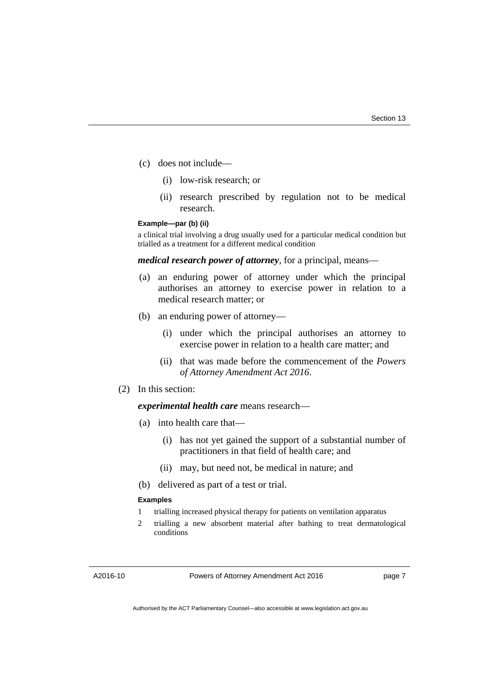- (c) does not include—
	- (i) low-risk research; or
	- (ii) research prescribed by regulation not to be medical research.

#### **Example—par (b) (ii)**

a clinical trial involving a drug usually used for a particular medical condition but trialled as a treatment for a different medical condition

*medical research power of attorney*, for a principal, means—

- (a) an enduring power of attorney under which the principal authorises an attorney to exercise power in relation to a medical research matter; or
- (b) an enduring power of attorney—
	- (i) under which the principal authorises an attorney to exercise power in relation to a health care matter; and
	- (ii) that was made before the commencement of the *Powers of Attorney Amendment Act 2016*.

#### (2) In this section:

#### *experimental health care* means research—

- (a) into health care that—
	- (i) has not yet gained the support of a substantial number of practitioners in that field of health care; and
	- (ii) may, but need not, be medical in nature; and
- (b) delivered as part of a test or trial.

#### **Examples**

- 1 trialling increased physical therapy for patients on ventilation apparatus
- 2 trialling a new absorbent material after bathing to treat dermatological conditions

A2016-10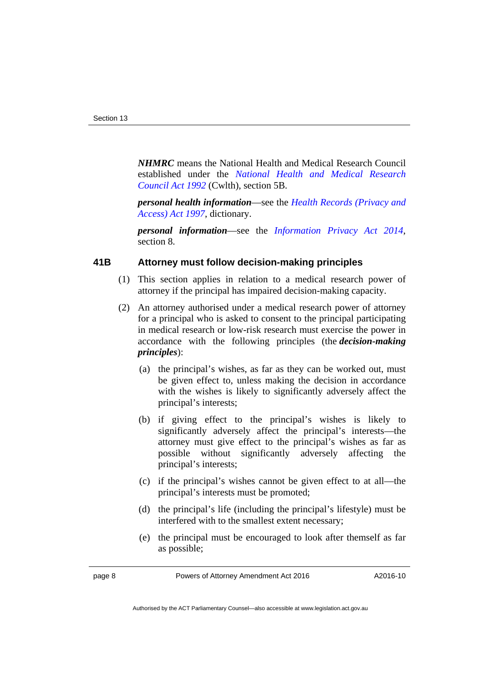*NHMRC* means the National Health and Medical Research Council established under the *[National Health and Medical Research](https://www.comlaw.gov.au/Series/C2004A04516)  [Council Act 1992](https://www.comlaw.gov.au/Series/C2004A04516)* (Cwlth), section 5B.

*personal health information*—see the *[Health Records \(Privacy and](http://www.legislation.act.gov.au/a/1997-125)  [Access\) Act 1997](http://www.legislation.act.gov.au/a/1997-125)*, dictionary.

*personal information*—see the *[Information Privacy Act 2014](http://www.legislation.act.gov.au/a/2014-24)*, section 8.

#### **41B Attorney must follow decision-making principles**

- (1) This section applies in relation to a medical research power of attorney if the principal has impaired decision-making capacity.
- (2) An attorney authorised under a medical research power of attorney for a principal who is asked to consent to the principal participating in medical research or low-risk research must exercise the power in accordance with the following principles (the *decision-making principles*):
	- (a) the principal's wishes, as far as they can be worked out, must be given effect to, unless making the decision in accordance with the wishes is likely to significantly adversely affect the principal's interests;
	- (b) if giving effect to the principal's wishes is likely to significantly adversely affect the principal's interests—the attorney must give effect to the principal's wishes as far as possible without significantly adversely affecting the principal's interests;
	- (c) if the principal's wishes cannot be given effect to at all—the principal's interests must be promoted;
	- (d) the principal's life (including the principal's lifestyle) must be interfered with to the smallest extent necessary;
	- (e) the principal must be encouraged to look after themself as far as possible;

Authorised by the ACT Parliamentary Counsel—also accessible at www.legislation.act.gov.au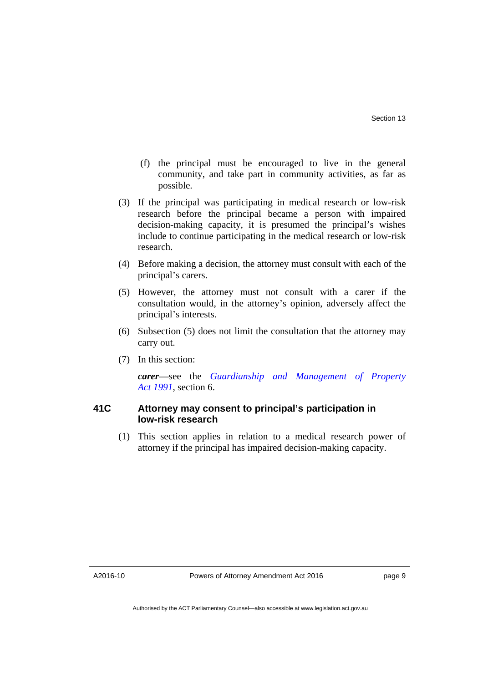- (f) the principal must be encouraged to live in the general community, and take part in community activities, as far as possible.
- (3) If the principal was participating in medical research or low-risk research before the principal became a person with impaired decision-making capacity, it is presumed the principal's wishes include to continue participating in the medical research or low-risk research.
- (4) Before making a decision, the attorney must consult with each of the principal's carers.
- (5) However, the attorney must not consult with a carer if the consultation would, in the attorney's opinion, adversely affect the principal's interests.
- (6) Subsection (5) does not limit the consultation that the attorney may carry out.
- (7) In this section:

*carer*—see the *[Guardianship and Management of Property](http://www.legislation.act.gov.au/a/1991-62)  [Act 1991](http://www.legislation.act.gov.au/a/1991-62)*, section 6.

#### **41C Attorney may consent to principal's participation in low-risk research**

 (1) This section applies in relation to a medical research power of attorney if the principal has impaired decision-making capacity.

A2016-10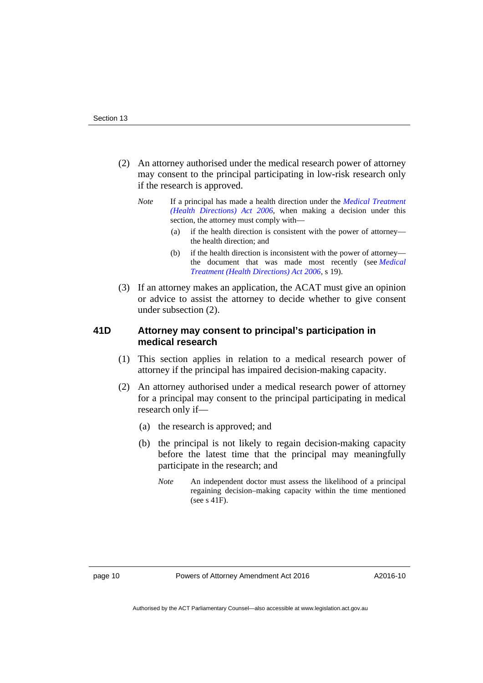- (2) An attorney authorised under the medical research power of attorney may consent to the principal participating in low-risk research only if the research is approved.
	- *Note* If a principal has made a health direction under the *[Medical Treatment](http://www.legislation.act.gov.au/a/2006-51)  [\(Health Directions\) Act 2006](http://www.legislation.act.gov.au/a/2006-51)*, when making a decision under this section, the attorney must comply with—
		- (a) if the health direction is consistent with the power of attorney the health direction; and
		- (b) if the health direction is inconsistent with the power of attorney the document that was made most recently (see *[Medical](http://www.legislation.act.gov.au/a/2006-51)  [Treatment \(Health Directions\) Act 2006](http://www.legislation.act.gov.au/a/2006-51)*, s 19).
- (3) If an attorney makes an application, the ACAT must give an opinion or advice to assist the attorney to decide whether to give consent under subsection (2).

#### **41D Attorney may consent to principal's participation in medical research**

- (1) This section applies in relation to a medical research power of attorney if the principal has impaired decision-making capacity.
- (2) An attorney authorised under a medical research power of attorney for a principal may consent to the principal participating in medical research only if—
	- (a) the research is approved; and
	- (b) the principal is not likely to regain decision-making capacity before the latest time that the principal may meaningfully participate in the research; and
		- *Note* An independent doctor must assess the likelihood of a principal regaining decision–making capacity within the time mentioned (see s 41F).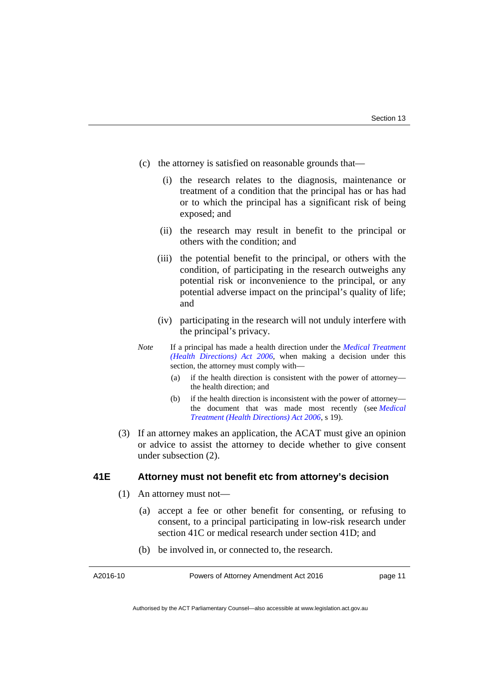- (c) the attorney is satisfied on reasonable grounds that—
	- (i) the research relates to the diagnosis, maintenance or treatment of a condition that the principal has or has had or to which the principal has a significant risk of being exposed; and
	- (ii) the research may result in benefit to the principal or others with the condition; and
	- (iii) the potential benefit to the principal, or others with the condition, of participating in the research outweighs any potential risk or inconvenience to the principal, or any potential adverse impact on the principal's quality of life; and
	- (iv) participating in the research will not unduly interfere with the principal's privacy.
- *Note* If a principal has made a health direction under the *[Medical Treatment](http://www.legislation.act.gov.au/a/2006-51)  [\(Health Directions\) Act 2006](http://www.legislation.act.gov.au/a/2006-51)*, when making a decision under this section, the attorney must comply with—
	- (a) if the health direction is consistent with the power of attorney the health direction; and
	- (b) if the health direction is inconsistent with the power of attorney the document that was made most recently (see *[Medical](http://www.legislation.act.gov.au/a/2006-51)  [Treatment \(Health Directions\) Act 2006](http://www.legislation.act.gov.au/a/2006-51)*, s 19).
- (3) If an attorney makes an application, the ACAT must give an opinion or advice to assist the attorney to decide whether to give consent under subsection (2).

#### **41E Attorney must not benefit etc from attorney's decision**

- (1) An attorney must not—
	- (a) accept a fee or other benefit for consenting, or refusing to consent, to a principal participating in low-risk research under section 41C or medical research under section 41D; and
	- (b) be involved in, or connected to, the research.

A2016-10

Powers of Attorney Amendment Act 2016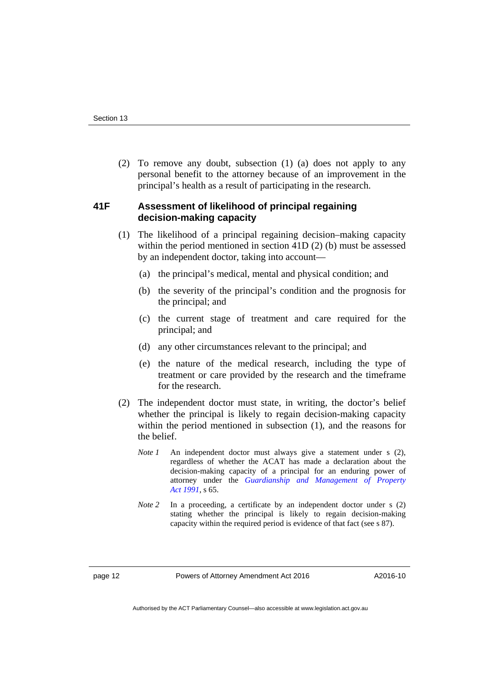(2) To remove any doubt, subsection (1) (a) does not apply to any personal benefit to the attorney because of an improvement in the principal's health as a result of participating in the research.

#### **41F Assessment of likelihood of principal regaining decision-making capacity**

- (1) The likelihood of a principal regaining decision–making capacity within the period mentioned in section 41D (2) (b) must be assessed by an independent doctor, taking into account—
	- (a) the principal's medical, mental and physical condition; and
	- (b) the severity of the principal's condition and the prognosis for the principal; and
	- (c) the current stage of treatment and care required for the principal; and
	- (d) any other circumstances relevant to the principal; and
	- (e) the nature of the medical research, including the type of treatment or care provided by the research and the timeframe for the research.
- (2) The independent doctor must state, in writing, the doctor's belief whether the principal is likely to regain decision-making capacity within the period mentioned in subsection (1), and the reasons for the belief.
	- *Note 1* An independent doctor must always give a statement under s (2), regardless of whether the ACAT has made a declaration about the decision-making capacity of a principal for an enduring power of attorney under the *[Guardianship and Management of Property](http://www.legislation.act.gov.au/a/1991-62)  [Act 1991](http://www.legislation.act.gov.au/a/1991-62)*, s 65.
	- *Note* 2 In a proceeding, a certificate by an independent doctor under s (2) stating whether the principal is likely to regain decision-making capacity within the required period is evidence of that fact (see s 87).

page 12 Powers of Attorney Amendment Act 2016

A2016-10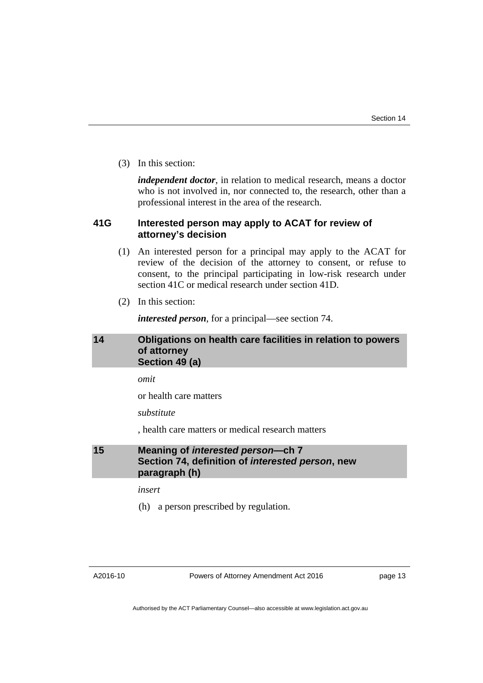(3) In this section:

*independent doctor*, in relation to medical research, means a doctor who is not involved in, nor connected to, the research, other than a professional interest in the area of the research.

#### **41G Interested person may apply to ACAT for review of attorney's decision**

- (1) An interested person for a principal may apply to the ACAT for review of the decision of the attorney to consent, or refuse to consent, to the principal participating in low-risk research under section 41C or medical research under section 41D.
- (2) In this section:

*interested person*, for a principal—see section 74.

#### <span id="page-14-0"></span>**14 Obligations on health care facilities in relation to powers of attorney Section 49 (a)**

*omit* 

or health care matters

*substitute* 

, health care matters or medical research matters

#### <span id="page-14-1"></span>**15 Meaning of** *interested person***—ch 7 Section 74, definition of** *interested person***, new paragraph (h)**

*insert* 

(h) a person prescribed by regulation.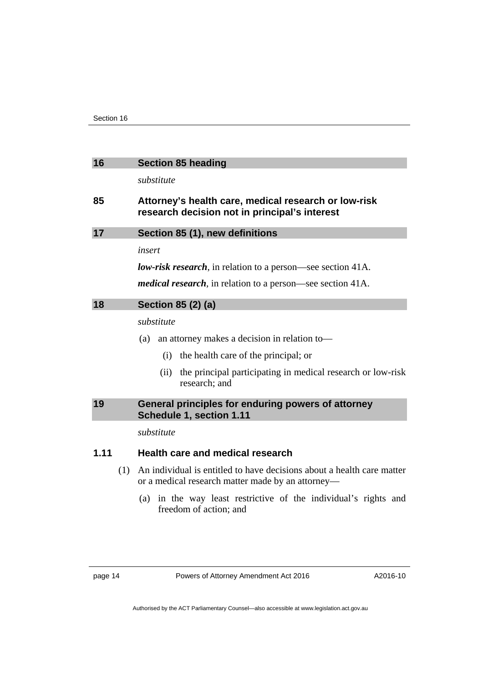<span id="page-15-3"></span><span id="page-15-2"></span><span id="page-15-1"></span><span id="page-15-0"></span>

| 16   |     | <b>Section 85 heading</b>                                                                                                   |  |
|------|-----|-----------------------------------------------------------------------------------------------------------------------------|--|
|      |     | substitute                                                                                                                  |  |
| 85   |     | Attorney's health care, medical research or low-risk<br>research decision not in principal's interest                       |  |
| 17   |     | Section 85 (1), new definitions                                                                                             |  |
|      |     | insert                                                                                                                      |  |
|      |     | <b><i>low-risk research</i></b> , in relation to a person—see section 41A.                                                  |  |
|      |     | <i>medical research</i> , in relation to a person—see section 41A.                                                          |  |
| 18   |     | Section 85 (2) (a)                                                                                                          |  |
|      |     | substitute                                                                                                                  |  |
|      |     | (a) an attorney makes a decision in relation to-                                                                            |  |
|      |     | the health care of the principal; or<br>(i)                                                                                 |  |
|      |     | the principal participating in medical research or low-risk<br>(ii)<br>research; and                                        |  |
| 19   |     | General principles for enduring powers of attorney<br>Schedule 1, section 1.11                                              |  |
|      |     | substitute                                                                                                                  |  |
| 1.11 |     | Health care and medical research                                                                                            |  |
|      | (1) | An individual is entitled to have decisions about a health care matter<br>or a medical research matter made by an attorney— |  |
|      |     | (a) in the way least restrictive of the individual's rights and<br>freedom of action; and                                   |  |
|      |     |                                                                                                                             |  |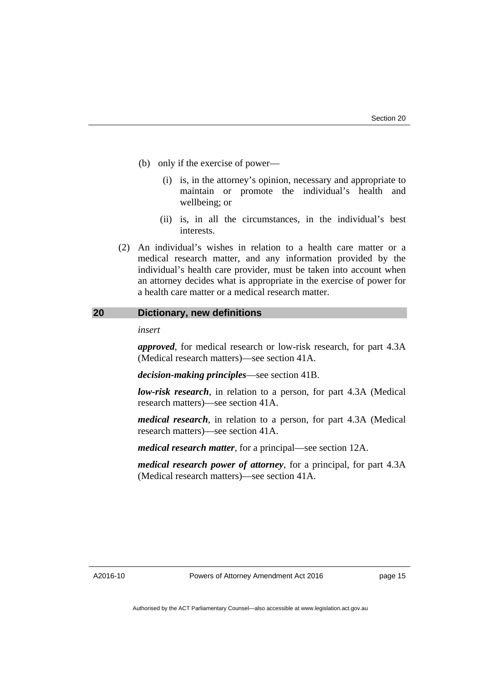- (b) only if the exercise of power—
	- (i) is, in the attorney's opinion, necessary and appropriate to maintain or promote the individual's health and wellbeing; or
	- (ii) is, in all the circumstances, in the individual's best interests.
- (2) An individual's wishes in relation to a health care matter or a medical research matter, and any information provided by the individual's health care provider, must be taken into account when an attorney decides what is appropriate in the exercise of power for a health care matter or a medical research matter.

#### <span id="page-16-0"></span>**20 Dictionary, new definitions**

#### *insert*

*approved*, for medical research or low-risk research, for part 4.3A (Medical research matters)—see section 41A.

*decision-making principles*—see section 41B.

*low-risk research*, in relation to a person, for part 4.3A (Medical research matters)—see section 41A.

*medical research*, in relation to a person, for part 4.3A (Medical research matters)—see section 41A.

*medical research matter*, for a principal—see section 12A.

*medical research power of attorney*, for a principal, for part 4.3A (Medical research matters)—see section 41A.

A2016-10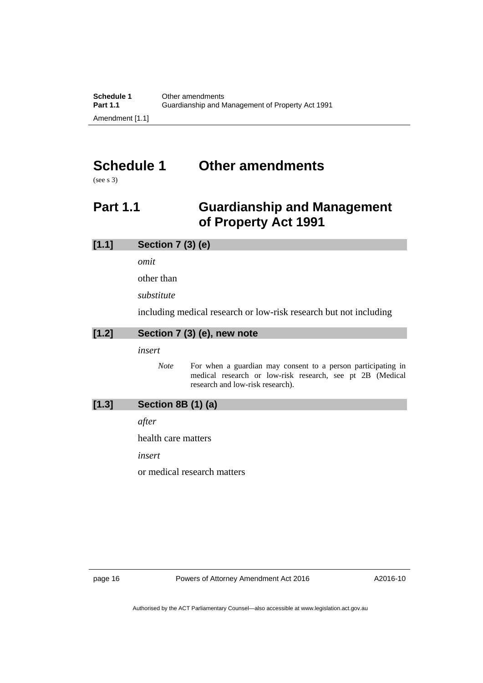# <span id="page-17-0"></span>**Schedule 1 Other amendments**

(see s 3)

# <span id="page-17-1"></span>**Part 1.1 Guardianship and Management of Property Act 1991**

#### **[1.1] Section 7 (3) (e)**

*omit* 

other than

*substitute* 

including medical research or low-risk research but not including

# **[1.2] Section 7 (3) (e), new note**

*insert* 

*Note* For when a guardian may consent to a person participating in medical research or low-risk research, see pt 2B (Medical research and low-risk research).

## **[1.3] Section 8B (1) (a)**

*after* 

health care matters

*insert* 

or medical research matters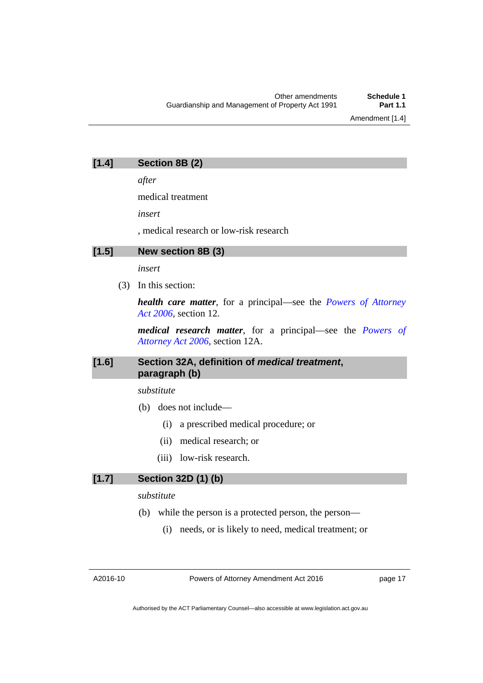Amendment [1.4]

| [1.4] | Section 8B (2) |  |
|-------|----------------|--|
|-------|----------------|--|

*after* 

medical treatment

*insert* 

, medical research or low-risk research

#### **[1.5] New section 8B (3)**

*insert* 

(3) In this section:

*health care matter*, for a principal—see the *[Powers of Attorney](http://www.legislation.act.gov.au/a/2006-50)  [Act 2006](http://www.legislation.act.gov.au/a/2006-50)*, section 12.

*medical research matter*, for a principal—see the *[Powers of](http://www.legislation.act.gov.au/a/2006-50)  [Attorney Act 2006](http://www.legislation.act.gov.au/a/2006-50)*, section 12A.

#### **[1.6] Section 32A, definition of** *medical treatment***, paragraph (b)**

*substitute* 

- (b) does not include—
	- (i) a prescribed medical procedure; or
	- (ii) medical research; or
	- (iii) low-risk research.

# **[1.7] Section 32D (1) (b)**

*substitute* 

- (b) while the person is a protected person, the person—
	- (i) needs, or is likely to need, medical treatment; or

A2016-10

Powers of Attorney Amendment Act 2016

page 17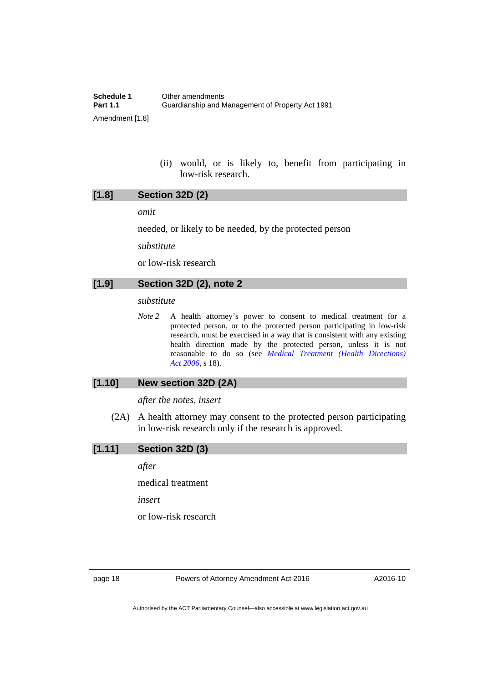(ii) would, or is likely to, benefit from participating in low-risk research.

*omit* 

needed, or likely to be needed, by the protected person

*substitute* 

or low-risk research

### **[1.9] Section 32D (2), note 2**

#### *substitute*

*Note 2* A health attorney's power to consent to medical treatment for a protected person, or to the protected person participating in low-risk research, must be exercised in a way that is consistent with any existing health direction made by the protected person, unless it is not reasonable to do so (see *[Medical Treatment \(Health Directions\)](http://www.legislation.act.gov.au/a/2006-51)  [Act 2006](http://www.legislation.act.gov.au/a/2006-51)*, s 18).

#### **[1.10] New section 32D (2A)**

*after the notes, insert* 

 (2A) A health attorney may consent to the protected person participating in low-risk research only if the research is approved.

**[1.11] Section 32D (3)** 

*after* 

medical treatment

*insert* 

or low-risk research

page 18 **Powers of Attorney Amendment Act 2016**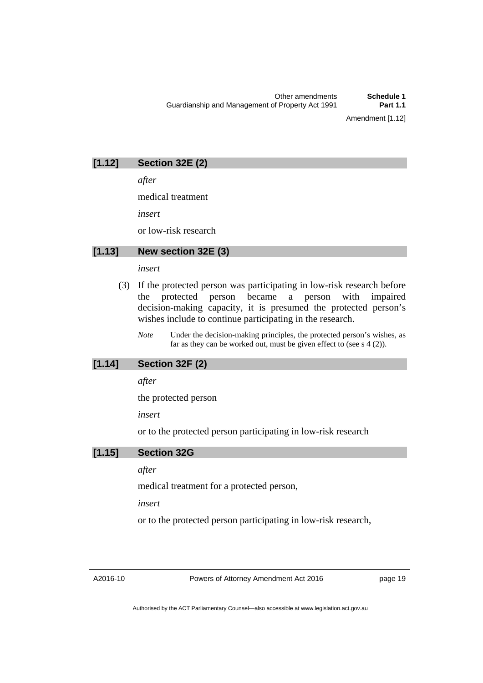# **[1.12] Section 32E (2)**

*after* 

medical treatment

*insert* 

or low-risk research

#### **[1.13] New section 32E (3)**

#### *insert*

- (3) If the protected person was participating in low-risk research before the protected person became a person with impaired decision-making capacity, it is presumed the protected person's wishes include to continue participating in the research.
	- *Note* Under the decision-making principles, the protected person's wishes, as far as they can be worked out, must be given effect to (see  $s \cdot 4$  (2)).

### **[1.14] Section 32F (2)**

*after* 

the protected person

*insert* 

or to the protected person participating in low-risk research

### **[1.15] Section 32G**

#### *after*

medical treatment for a protected person,

*insert* 

or to the protected person participating in low-risk research,

A2016-10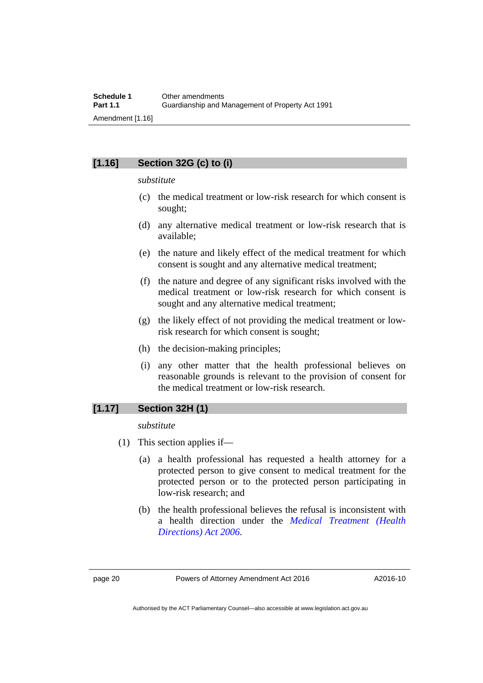# **[1.16] Section 32G (c) to (i)**

#### *substitute*

- (c) the medical treatment or low-risk research for which consent is sought;
- (d) any alternative medical treatment or low-risk research that is available;
- (e) the nature and likely effect of the medical treatment for which consent is sought and any alternative medical treatment;
- (f) the nature and degree of any significant risks involved with the medical treatment or low-risk research for which consent is sought and any alternative medical treatment;
- (g) the likely effect of not providing the medical treatment or lowrisk research for which consent is sought;
- (h) the decision-making principles;
- (i) any other matter that the health professional believes on reasonable grounds is relevant to the provision of consent for the medical treatment or low-risk research.

#### **[1.17] Section 32H (1)**

*substitute* 

- (1) This section applies if—
	- (a) a health professional has requested a health attorney for a protected person to give consent to medical treatment for the protected person or to the protected person participating in low-risk research; and
	- (b) the health professional believes the refusal is inconsistent with a health direction under the *[Medical Treatment \(Health](http://www.legislation.act.gov.au/a/2006-51)  [Directions\) Act 2006](http://www.legislation.act.gov.au/a/2006-51)*.

Authorised by the ACT Parliamentary Counsel—also accessible at www.legislation.act.gov.au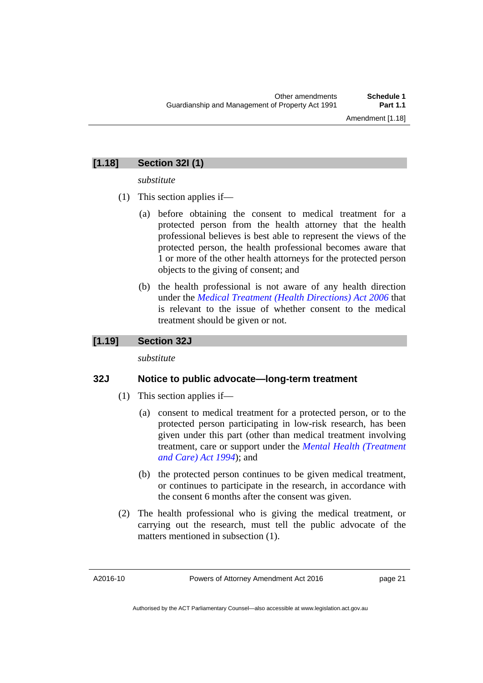# **[1.18] Section 32I (1)**

*substitute* 

- (1) This section applies if—
	- (a) before obtaining the consent to medical treatment for a protected person from the health attorney that the health professional believes is best able to represent the views of the protected person, the health professional becomes aware that 1 or more of the other health attorneys for the protected person objects to the giving of consent; and
	- (b) the health professional is not aware of any health direction under the *[Medical Treatment \(Health Directions\) Act 2006](http://www.legislation.act.gov.au/a/2006-51)* that is relevant to the issue of whether consent to the medical treatment should be given or not.

#### **[1.19] Section 32J**

*substitute* 

#### **32J Notice to public advocate—long-term treatment**

- (1) This section applies if—
	- (a) consent to medical treatment for a protected person, or to the protected person participating in low-risk research, has been given under this part (other than medical treatment involving treatment, care or support under the *[Mental Health \(Treatment](http://www.legislation.act.gov.au/a/1994-44)  [and Care\) Act 1994](http://www.legislation.act.gov.au/a/1994-44)*); and
	- (b) the protected person continues to be given medical treatment, or continues to participate in the research, in accordance with the consent 6 months after the consent was given.
- (2) The health professional who is giving the medical treatment, or carrying out the research, must tell the public advocate of the matters mentioned in subsection (1).

A2016-10

Authorised by the ACT Parliamentary Counsel—also accessible at www.legislation.act.gov.au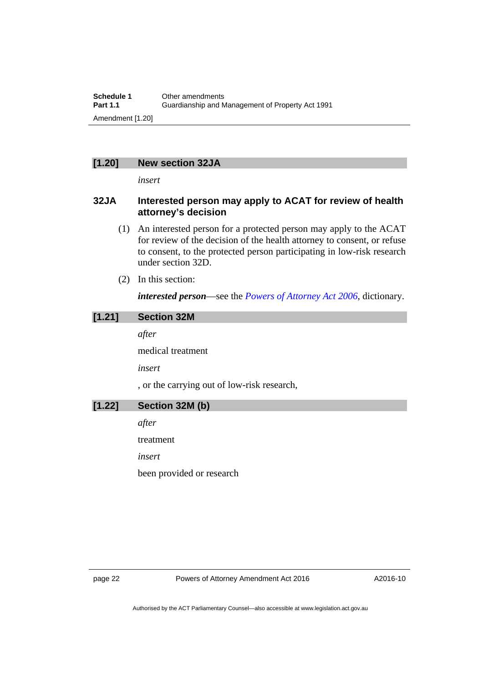#### **[1.20] New section 32JA**

*insert* 

#### **32JA Interested person may apply to ACAT for review of health attorney's decision**

- (1) An interested person for a protected person may apply to the ACAT for review of the decision of the health attorney to consent, or refuse to consent, to the protected person participating in low-risk research under section 32D.
- (2) In this section:

*interested person*—see the *[Powers of Attorney Act 2006](http://www.legislation.act.gov.au/a/2006-50)*, dictionary.

# **[1.21] Section 32M**

*after* 

medical treatment

*insert* 

, or the carrying out of low-risk research,

**[1.22] Section 32M (b)** 

*after* 

treatment

*insert* 

been provided or research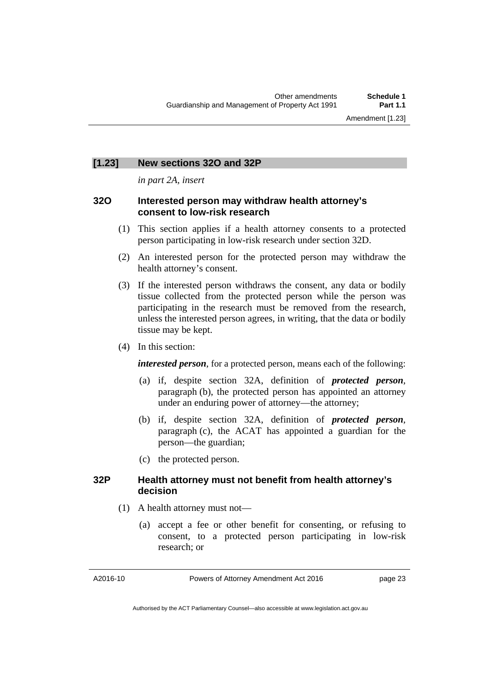#### **[1.23] New sections 32O and 32P**

*in part 2A, insert* 

#### **32O Interested person may withdraw health attorney's consent to low-risk research**

- (1) This section applies if a health attorney consents to a protected person participating in low-risk research under section 32D.
- (2) An interested person for the protected person may withdraw the health attorney's consent.
- (3) If the interested person withdraws the consent, any data or bodily tissue collected from the protected person while the person was participating in the research must be removed from the research, unless the interested person agrees, in writing, that the data or bodily tissue may be kept.
- (4) In this section:

*interested person*, for a protected person, means each of the following:

- (a) if, despite section 32A, definition of *protected person*, paragraph (b), the protected person has appointed an attorney under an enduring power of attorney—the attorney;
- (b) if, despite section 32A, definition of *protected person*, paragraph (c), the ACAT has appointed a guardian for the person—the guardian;
- (c) the protected person.

#### **32P Health attorney must not benefit from health attorney's decision**

- (1) A health attorney must not—
	- (a) accept a fee or other benefit for consenting, or refusing to consent, to a protected person participating in low-risk research; or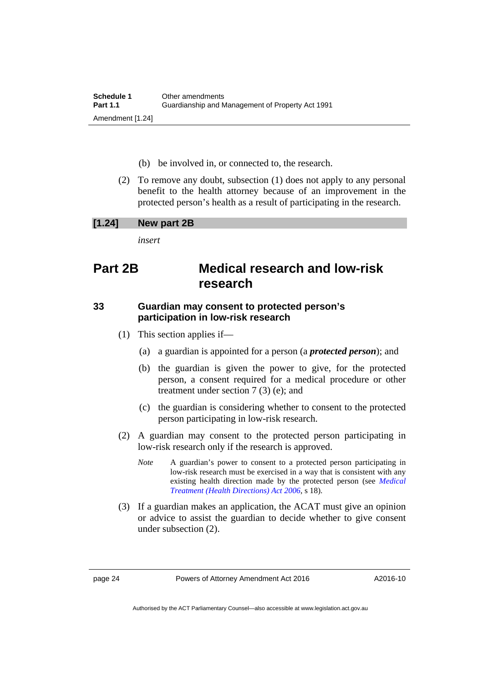- (b) be involved in, or connected to, the research.
- (2) To remove any doubt, subsection (1) does not apply to any personal benefit to the health attorney because of an improvement in the protected person's health as a result of participating in the research.

#### **[1.24] New part 2B**

*insert* 

# **Part 2B Medical research and low-risk research**

#### **33 Guardian may consent to protected person's participation in low-risk research**

- (1) This section applies if—
	- (a) a guardian is appointed for a person (a *protected person*); and
	- (b) the guardian is given the power to give, for the protected person, a consent required for a medical procedure or other treatment under section 7 (3) (e); and
	- (c) the guardian is considering whether to consent to the protected person participating in low-risk research.
- (2) A guardian may consent to the protected person participating in low-risk research only if the research is approved.
	- *Note* A guardian's power to consent to a protected person participating in low-risk research must be exercised in a way that is consistent with any existing health direction made by the protected person (see *[Medical](http://www.legislation.act.gov.au/a/2006-51)  [Treatment \(Health Directions\) Act 2006](http://www.legislation.act.gov.au/a/2006-51)*, s 18).
- (3) If a guardian makes an application, the ACAT must give an opinion or advice to assist the guardian to decide whether to give consent under subsection (2).

Authorised by the ACT Parliamentary Counsel—also accessible at www.legislation.act.gov.au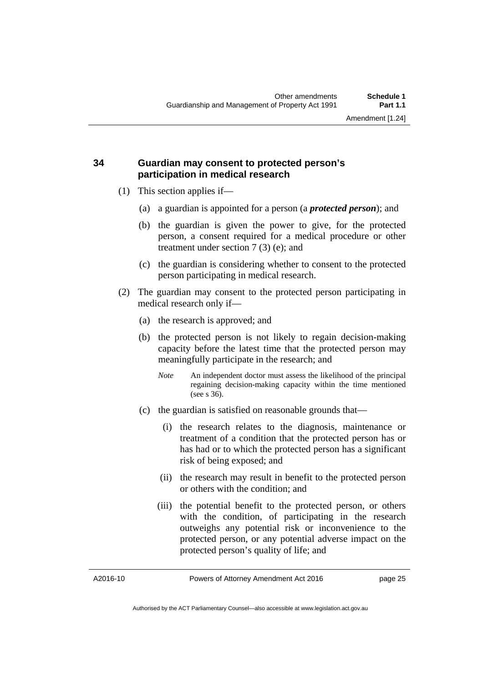### **34 Guardian may consent to protected person's participation in medical research**

- (1) This section applies if—
	- (a) a guardian is appointed for a person (a *protected person*); and
	- (b) the guardian is given the power to give, for the protected person, a consent required for a medical procedure or other treatment under section 7 (3) (e); and
	- (c) the guardian is considering whether to consent to the protected person participating in medical research.
- (2) The guardian may consent to the protected person participating in medical research only if—
	- (a) the research is approved; and
	- (b) the protected person is not likely to regain decision-making capacity before the latest time that the protected person may meaningfully participate in the research; and
		- *Note* An independent doctor must assess the likelihood of the principal regaining decision-making capacity within the time mentioned (see s 36).
	- (c) the guardian is satisfied on reasonable grounds that—
		- (i) the research relates to the diagnosis, maintenance or treatment of a condition that the protected person has or has had or to which the protected person has a significant risk of being exposed; and
		- (ii) the research may result in benefit to the protected person or others with the condition; and
		- (iii) the potential benefit to the protected person, or others with the condition, of participating in the research outweighs any potential risk or inconvenience to the protected person, or any potential adverse impact on the protected person's quality of life; and

A2016-10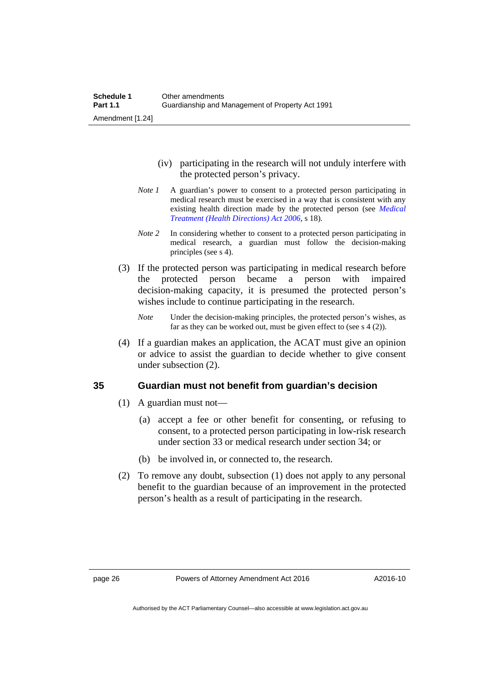- (iv) participating in the research will not unduly interfere with the protected person's privacy.
- *Note 1* A guardian's power to consent to a protected person participating in medical research must be exercised in a way that is consistent with any existing health direction made by the protected person (see *[Medical](http://www.legislation.act.gov.au/a/2006-51)  [Treatment \(Health Directions\) Act 2006](http://www.legislation.act.gov.au/a/2006-51)*, s 18).
- *Note 2* In considering whether to consent to a protected person participating in medical research, a guardian must follow the decision-making principles (see s 4).
- (3) If the protected person was participating in medical research before the protected person became a person with impaired decision-making capacity, it is presumed the protected person's wishes include to continue participating in the research.
	- *Note* Under the decision-making principles, the protected person's wishes, as far as they can be worked out, must be given effect to (see s  $4(2)$ ).
- (4) If a guardian makes an application, the ACAT must give an opinion or advice to assist the guardian to decide whether to give consent under subsection (2).

## **35 Guardian must not benefit from guardian's decision**

- (1) A guardian must not—
	- (a) accept a fee or other benefit for consenting, or refusing to consent, to a protected person participating in low-risk research under section 33 or medical research under section 34; or
	- (b) be involved in, or connected to, the research.
- (2) To remove any doubt, subsection (1) does not apply to any personal benefit to the guardian because of an improvement in the protected person's health as a result of participating in the research.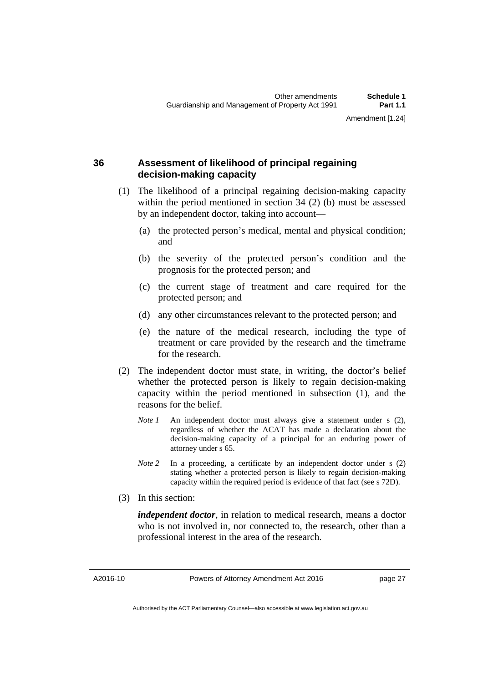### **36 Assessment of likelihood of principal regaining decision-making capacity**

- (1) The likelihood of a principal regaining decision-making capacity within the period mentioned in section 34 (2) (b) must be assessed by an independent doctor, taking into account—
	- (a) the protected person's medical, mental and physical condition; and
	- (b) the severity of the protected person's condition and the prognosis for the protected person; and
	- (c) the current stage of treatment and care required for the protected person; and
	- (d) any other circumstances relevant to the protected person; and
	- (e) the nature of the medical research, including the type of treatment or care provided by the research and the timeframe for the research.
- (2) The independent doctor must state, in writing, the doctor's belief whether the protected person is likely to regain decision-making capacity within the period mentioned in subsection (1), and the reasons for the belief.
	- *Note 1* An independent doctor must always give a statement under s (2), regardless of whether the ACAT has made a declaration about the decision-making capacity of a principal for an enduring power of attorney under s 65.
	- *Note 2* In a proceeding, a certificate by an independent doctor under s (2) stating whether a protected person is likely to regain decision-making capacity within the required period is evidence of that fact (see s 72D).
- (3) In this section:

*independent doctor*, in relation to medical research, means a doctor who is not involved in, nor connected to, the research, other than a professional interest in the area of the research.

Authorised by the ACT Parliamentary Counsel—also accessible at www.legislation.act.gov.au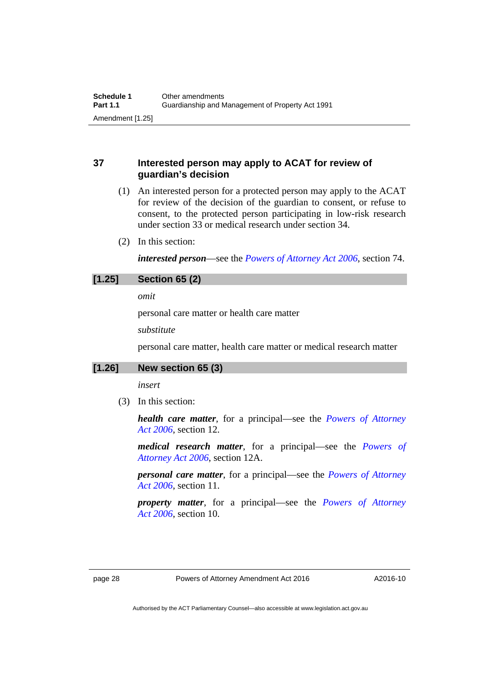## **37 Interested person may apply to ACAT for review of guardian's decision**

- (1) An interested person for a protected person may apply to the ACAT for review of the decision of the guardian to consent, or refuse to consent, to the protected person participating in low-risk research under section 33 or medical research under section 34.
- (2) In this section:

*interested person*—see the *[Powers of Attorney Act 2006](http://www.legislation.act.gov.au/a/2006-50)*, section 74.

## **[1.25] Section 65 (2)**

*omit* 

personal care matter or health care matter

*substitute* 

personal care matter, health care matter or medical research matter

#### **[1.26] New section 65 (3)**

*insert* 

(3) In this section:

*health care matter*, for a principal—see the *[Powers of Attorney](http://www.legislation.act.gov.au/a/2006-50)  [Act 2006](http://www.legislation.act.gov.au/a/2006-50)*, section 12.

*medical research matter*, for a principal—see the *[Powers of](http://www.legislation.act.gov.au/a/2006-50)  [Attorney Act 2006](http://www.legislation.act.gov.au/a/2006-50)*, section 12A.

*personal care matter*, for a principal—see the *[Powers of Attorney](http://www.legislation.act.gov.au/a/2006-50)  [Act 2006](http://www.legislation.act.gov.au/a/2006-50)*, section 11.

*property matter*, for a principal—see the *[Powers of Attorney](http://www.legislation.act.gov.au/a/2006-50)  [Act 2006](http://www.legislation.act.gov.au/a/2006-50)*, section 10.

Authorised by the ACT Parliamentary Counsel—also accessible at www.legislation.act.gov.au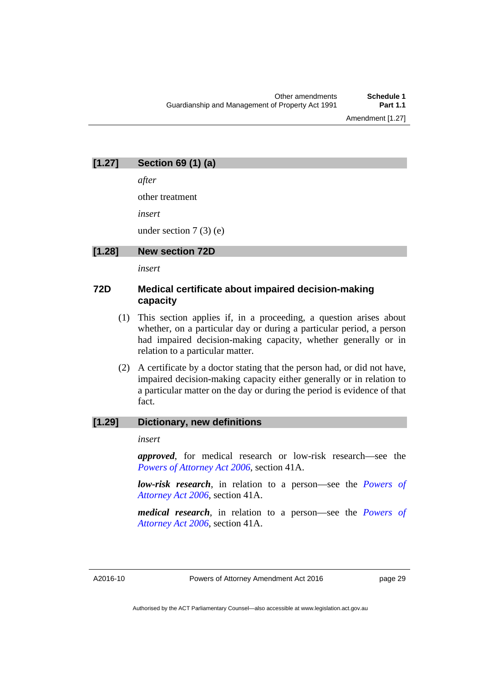## **[1.27] Section 69 (1) (a)**

*after* 

other treatment

*insert* 

under section 7 (3) (e)

**[1.28] New section 72D** 

*insert* 

## **72D Medical certificate about impaired decision-making capacity**

- (1) This section applies if, in a proceeding, a question arises about whether, on a particular day or during a particular period, a person had impaired decision-making capacity, whether generally or in relation to a particular matter.
- (2) A certificate by a doctor stating that the person had, or did not have, impaired decision-making capacity either generally or in relation to a particular matter on the day or during the period is evidence of that fact.

#### **[1.29] Dictionary, new definitions**

*insert* 

*approved*, for medical research or low-risk research—see the *[Powers of Attorney Act 2006](http://www.legislation.act.gov.au/a/2006-50)*, section 41A.

*low-risk research*, in relation to a person—see the *[Powers of](http://www.legislation.act.gov.au/a/2006-50)  [Attorney Act 2006](http://www.legislation.act.gov.au/a/2006-50)*, section 41A.

*medical research*, in relation to a person—see the *[Powers of](http://www.legislation.act.gov.au/a/2006-50)  [Attorney Act 2006](http://www.legislation.act.gov.au/a/2006-50)*, section 41A.

A2016-10

Authorised by the ACT Parliamentary Counsel—also accessible at www.legislation.act.gov.au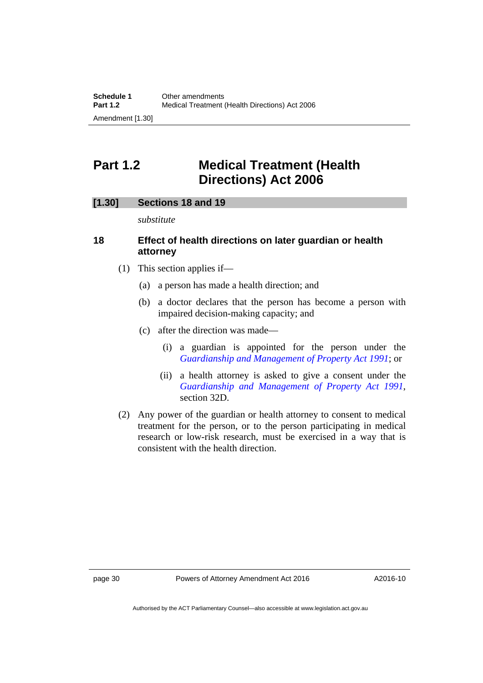# <span id="page-31-0"></span>**Part 1.2 Medical Treatment (Health Directions) Act 2006**

#### **[1.30] Sections 18 and 19**

*substitute* 

#### **18 Effect of health directions on later guardian or health attorney**

- (1) This section applies if—
	- (a) a person has made a health direction; and
	- (b) a doctor declares that the person has become a person with impaired decision-making capacity; and
	- (c) after the direction was made—
		- (i) a guardian is appointed for the person under the *[Guardianship and Management of Property Act 1991](http://www.legislation.act.gov.au/a/1991-62)*; or
		- (ii) a health attorney is asked to give a consent under the *[Guardianship and Management of Property Act 1991](http://www.legislation.act.gov.au/a/1991-62)*, section 32D.
- (2) Any power of the guardian or health attorney to consent to medical treatment for the person, or to the person participating in medical research or low-risk research, must be exercised in a way that is consistent with the health direction.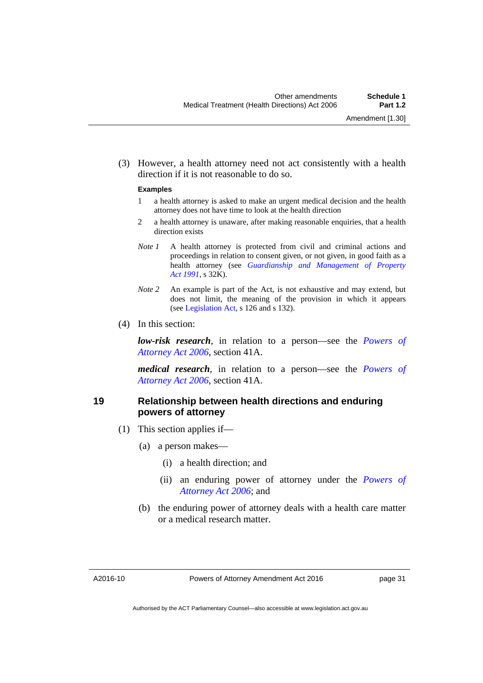(3) However, a health attorney need not act consistently with a health direction if it is not reasonable to do so.

#### **Examples**

- 1 a health attorney is asked to make an urgent medical decision and the health attorney does not have time to look at the health direction
- 2 a health attorney is unaware, after making reasonable enquiries, that a health direction exists
- *Note 1* A health attorney is protected from civil and criminal actions and proceedings in relation to consent given, or not given, in good faith as a health attorney (see *[Guardianship and Management of Property](http://www.legislation.act.gov.au/a/1991-62)  [Act 1991](http://www.legislation.act.gov.au/a/1991-62)*, s 32K).
- *Note 2* An example is part of the Act, is not exhaustive and may extend, but does not limit, the meaning of the provision in which it appears (see [Legislation Act,](http://www.legislation.act.gov.au/a/2001-14) s 126 and s 132).
- (4) In this section:

*low-risk research*, in relation to a person—see the *[Powers of](http://www.legislation.act.gov.au/a/2006-50)  [Attorney Act 2006](http://www.legislation.act.gov.au/a/2006-50)*, section 41A.

*medical research*, in relation to a person—see the *[Powers of](http://www.legislation.act.gov.au/a/2006-50)  [Attorney Act 2006](http://www.legislation.act.gov.au/a/2006-50)*, section 41A.

#### **19 Relationship between health directions and enduring powers of attorney**

- (1) This section applies if—
	- (a) a person makes—
		- (i) a health direction; and
		- (ii) an enduring power of attorney under the *[Powers of](http://www.legislation.act.gov.au/a/2006-50)  [Attorney Act 2006](http://www.legislation.act.gov.au/a/2006-50)*; and
	- (b) the enduring power of attorney deals with a health care matter or a medical research matter.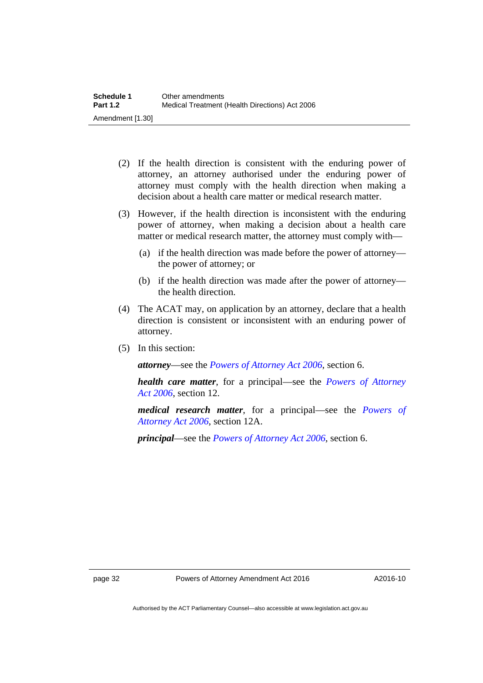- (2) If the health direction is consistent with the enduring power of attorney, an attorney authorised under the enduring power of attorney must comply with the health direction when making a decision about a health care matter or medical research matter.
- (3) However, if the health direction is inconsistent with the enduring power of attorney, when making a decision about a health care matter or medical research matter, the attorney must comply with—
	- (a) if the health direction was made before the power of attorney the power of attorney; or
	- (b) if the health direction was made after the power of attorney the health direction.
- (4) The ACAT may, on application by an attorney, declare that a health direction is consistent or inconsistent with an enduring power of attorney.
- (5) In this section:

*attorney*—see the *[Powers of Attorney Act 2006](http://www.legislation.act.gov.au/a/2006-50)*, section 6.

*health care matter*, for a principal—see the *[Powers of Attorney](http://www.legislation.act.gov.au/a/2006-50)  [Act 2006](http://www.legislation.act.gov.au/a/2006-50)*, section 12.

*medical research matter*, for a principal—see the *[Powers of](http://www.legislation.act.gov.au/a/2006-50)  [Attorney Act 2006](http://www.legislation.act.gov.au/a/2006-50)*, section 12A.

*principal*—see the *[Powers of Attorney Act 2006](http://www.legislation.act.gov.au/a/2006-50)*, section 6.